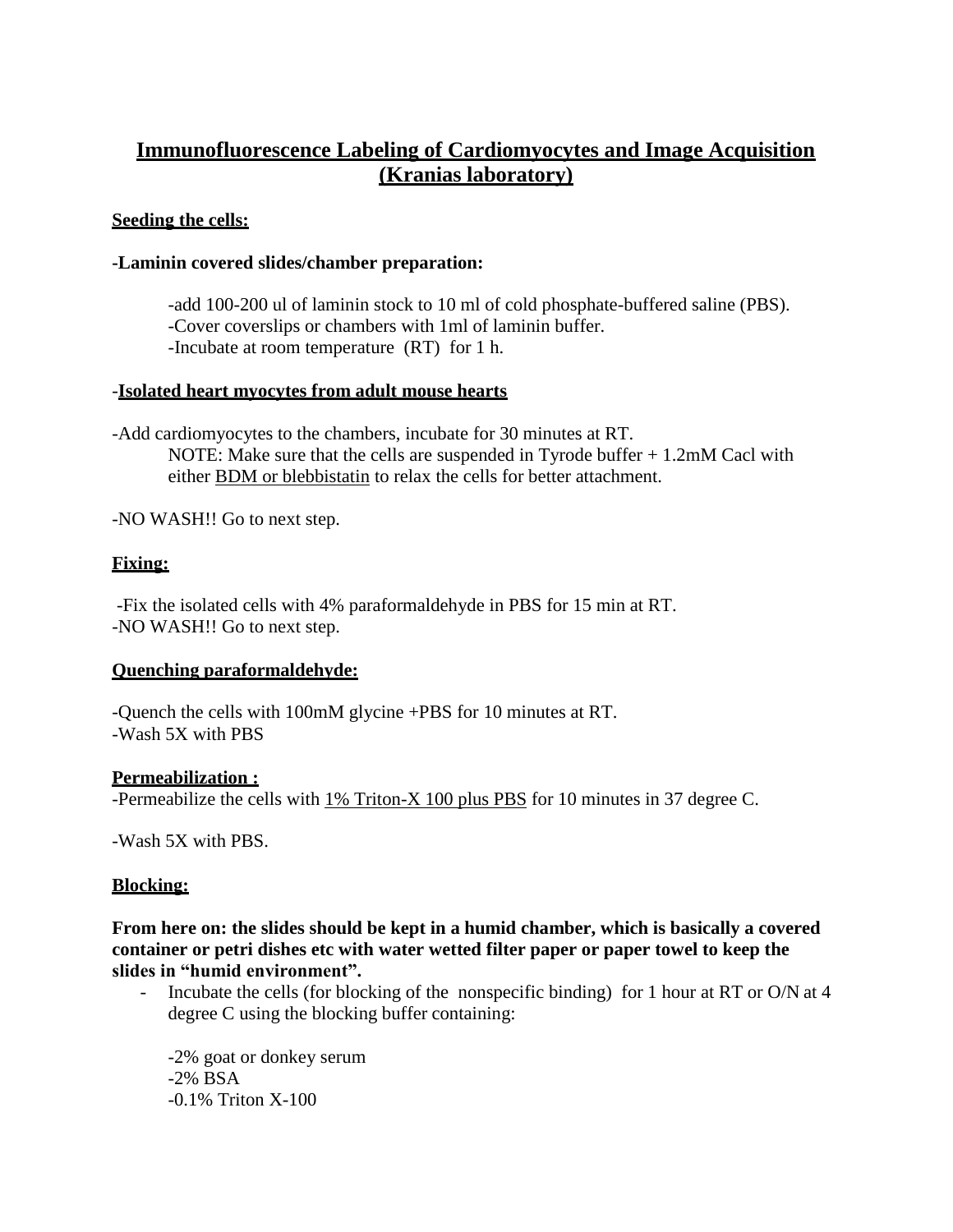# **Immunofluorescence Labeling of Cardiomyocytes and Image Acquisition (Kranias laboratory)**

### **Seeding the cells:**

### **-Laminin covered slides/chamber preparation:**

-add 100-200 ul of laminin stock to 10 ml of cold phosphate-buffered saline (PBS). -Cover coverslips or chambers with 1ml of laminin buffer. -Incubate at room temperature (RT) for 1 h.

### -**Isolated heart myocytes from adult mouse hearts**

-Add cardiomyocytes to the chambers, incubate for 30 minutes at RT. NOTE: Make sure that the cells are suspended in Tyrode buffer + 1.2mM Cacl with either BDM or blebbistatin to relax the cells for better attachment.

-NO WASH!! Go to next step.

# **Fixing:**

-Fix the isolated cells with 4% paraformaldehyde in PBS for 15 min at RT. -NO WASH!! Go to next step.

### **Quenching paraformaldehyde:**

-Quench the cells with 100mM glycine +PBS for 10 minutes at RT. -Wash 5X with PBS

### **Permeabilization :**

-Permeabilize the cells with  $1\%$  Triton-X 100 plus PBS for 10 minutes in 37 degree C.

-Wash 5X with PBS.

# **Blocking:**

**From here on: the slides should be kept in a humid chamber, which is basically a covered container or petri dishes etc with water wetted filter paper or paper towel to keep the slides in "humid environment".**

- Incubate the cells (for blocking of the nonspecific binding) for 1 hour at RT or O/N at 4 degree C using the blocking buffer containing:

-2% goat or donkey serum -2% BSA -0.1% Triton X-100